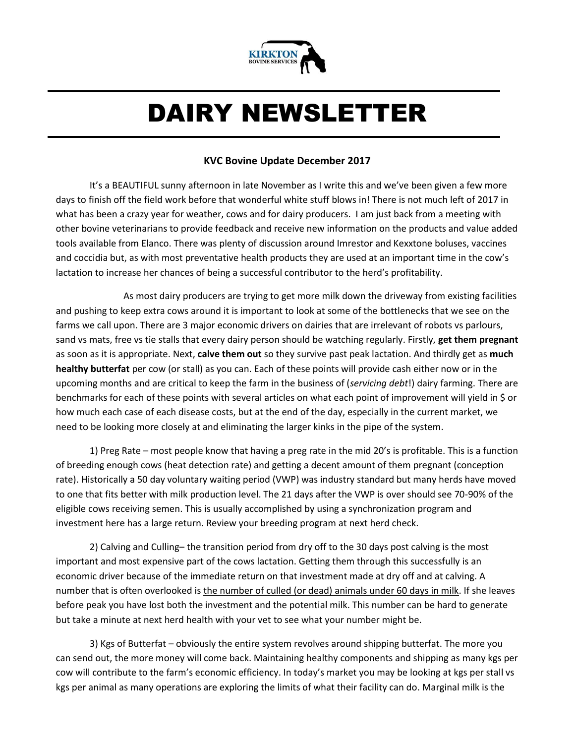

# DAIRY NEWSLETTER

#### **KVC Bovine Update December 2017**

It's a BEAUTIFUL sunny afternoon in late November as I write this and we've been given a few more days to finish off the field work before that wonderful white stuff blows in! There is not much left of 2017 in what has been a crazy year for weather, cows and for dairy producers. I am just back from a meeting with other bovine veterinarians to provide feedback and receive new information on the products and value added tools available from Elanco. There was plenty of discussion around Imrestor and Kexxtone boluses, vaccines and coccidia but, as with most preventative health products they are used at an important time in the cow's lactation to increase her chances of being a successful contributor to the herd's profitability.

As most dairy producers are trying to get more milk down the driveway from existing facilities and pushing to keep extra cows around it is important to look at some of the bottlenecks that we see on the farms we call upon. There are 3 major economic drivers on dairies that are irrelevant of robots vs parlours, sand vs mats, free vs tie stalls that every dairy person should be watching regularly. Firstly, **get them pregnant** as soon as it is appropriate. Next, **calve them out** so they survive past peak lactation. And thirdly get as **much healthy butterfat** per cow (or stall) as you can. Each of these points will provide cash either now or in the upcoming months and are critical to keep the farm in the business of (*servicing debt*!) dairy farming. There are benchmarks for each of these points with several articles on what each point of improvement will yield in \$ or how much each case of each disease costs, but at the end of the day, especially in the current market, we need to be looking more closely at and eliminating the larger kinks in the pipe of the system.

1) Preg Rate – most people know that having a preg rate in the mid 20's is profitable. This is a function of breeding enough cows (heat detection rate) and getting a decent amount of them pregnant (conception rate). Historically a 50 day voluntary waiting period (VWP) was industry standard but many herds have moved to one that fits better with milk production level. The 21 days after the VWP is over should see 70-90% of the eligible cows receiving semen. This is usually accomplished by using a synchronization program and investment here has a large return. Review your breeding program at next herd check.

2) Calving and Culling– the transition period from dry off to the 30 days post calving is the most important and most expensive part of the cows lactation. Getting them through this successfully is an economic driver because of the immediate return on that investment made at dry off and at calving. A number that is often overlooked is the number of culled (or dead) animals under 60 days in milk. If she leaves before peak you have lost both the investment and the potential milk. This number can be hard to generate but take a minute at next herd health with your vet to see what your number might be.

3) Kgs of Butterfat – obviously the entire system revolves around shipping butterfat. The more you can send out, the more money will come back. Maintaining healthy components and shipping as many kgs per cow will contribute to the farm's economic efficiency. In today's market you may be looking at kgs per stall vs kgs per animal as many operations are exploring the limits of what their facility can do. Marginal milk is the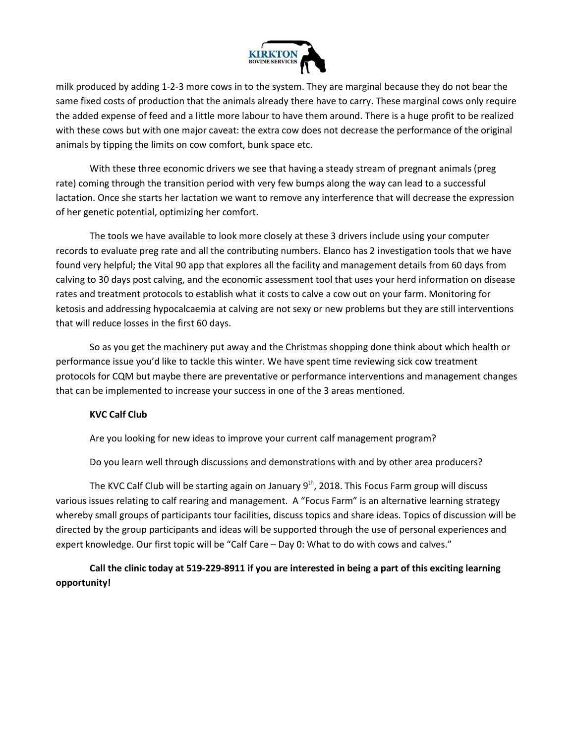

milk produced by adding 1-2-3 more cows in to the system. They are marginal because they do not bear the same fixed costs of production that the animals already there have to carry. These marginal cows only require the added expense of feed and a little more labour to have them around. There is a huge profit to be realized with these cows but with one major caveat: the extra cow does not decrease the performance of the original animals by tipping the limits on cow comfort, bunk space etc.

With these three economic drivers we see that having a steady stream of pregnant animals (preg rate) coming through the transition period with very few bumps along the way can lead to a successful lactation. Once she starts her lactation we want to remove any interference that will decrease the expression of her genetic potential, optimizing her comfort.

The tools we have available to look more closely at these 3 drivers include using your computer records to evaluate preg rate and all the contributing numbers. Elanco has 2 investigation tools that we have found very helpful; the Vital 90 app that explores all the facility and management details from 60 days from calving to 30 days post calving, and the economic assessment tool that uses your herd information on disease rates and treatment protocols to establish what it costs to calve a cow out on your farm. Monitoring for ketosis and addressing hypocalcaemia at calving are not sexy or new problems but they are still interventions that will reduce losses in the first 60 days.

So as you get the machinery put away and the Christmas shopping done think about which health or performance issue you'd like to tackle this winter. We have spent time reviewing sick cow treatment protocols for CQM but maybe there are preventative or performance interventions and management changes that can be implemented to increase your success in one of the 3 areas mentioned.

#### **KVC Calf Club**

Are you looking for new ideas to improve your current calf management program?

Do you learn well through discussions and demonstrations with and by other area producers?

The KVC Calf Club will be starting again on January  $9<sup>th</sup>$ , 2018. This Focus Farm group will discuss various issues relating to calf rearing and management. A "Focus Farm" is an alternative learning strategy whereby small groups of participants tour facilities, discuss topics and share ideas. Topics of discussion will be directed by the group participants and ideas will be supported through the use of personal experiences and expert knowledge. Our first topic will be "Calf Care – Day 0: What to do with cows and calves."

#### **Call the clinic today at 519-229-8911 if you are interested in being a part of this exciting learning opportunity!**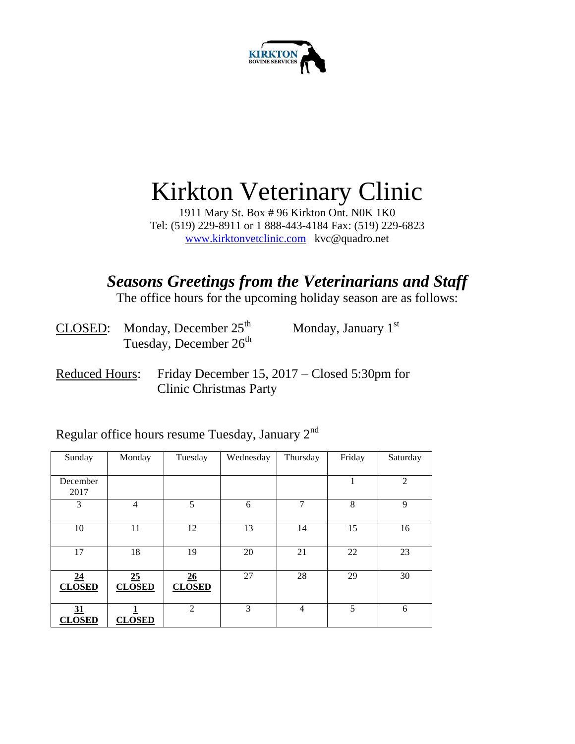

## Kirkton Veterinary Clinic

1911 Mary St. Box # 96 Kirkton Ont. N0K 1K0 Tel: (519) 229-8911 or 1 888-443-4184 Fax: (519) 229-6823 [www.kirktonvetclinic.com](http://www.kirktonvetclinic.com/) kvc@quadro.net

### *Seasons Greetings from the Veterinarians and Staff*

The office hours for the upcoming holiday season are as follows:

| CLOSED: Monday, December $25th$    | Monday, January $1st$ |
|------------------------------------|-----------------------|
| Tuesday, December 26 <sup>th</sup> |                       |

Reduced Hours: Friday December 15, 2017 – Closed 5:30pm for Clinic Christmas Party

Regular office hours resume Tuesday, January 2nd

| Sunday              | Monday              | Tuesday             | Wednesday | Thursday       | Friday | Saturday       |
|---------------------|---------------------|---------------------|-----------|----------------|--------|----------------|
| December<br>2017    |                     |                     |           |                | 1      | $\overline{2}$ |
| 3                   | $\overline{4}$      | 5                   | 6         | 7              | 8      | 9              |
| 10                  | 11                  | 12                  | 13        | 14             | 15     | 16             |
| 17                  | 18                  | 19                  | 20        | 21             | 22     | 23             |
| 24<br><b>CLOSED</b> | 25<br><b>CLOSED</b> | 26<br><b>CLOSED</b> | 27        | 28             | 29     | 30             |
| 31<br><b>CLOSED</b> | <b>CLOSED</b>       | $\overline{2}$      | 3         | $\overline{4}$ | 5      | 6              |